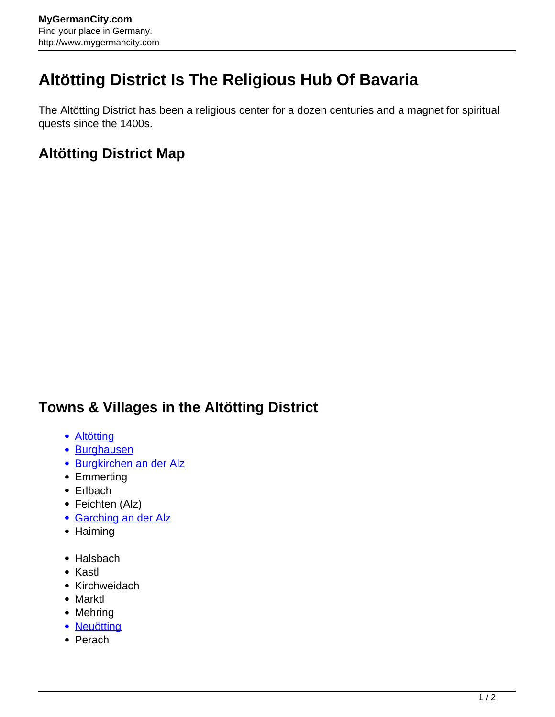## **Altötting District Is The Religious Hub Of Bavaria**

The Altötting District has been a religious center for a dozen centuries and a magnet for spiritual quests since the 1400s.

## **Altötting District Map**

## **Towns & Villages in the Altötting District**

- **[Altötting](http://www.mygermancity.com/altoetting)**
- [Burghausen](http://www.mygermancity.com/burghausen)
- [Burgkirchen an der Alz](http://www.mygermancity.com/burgkirchen)
- Emmerting
- Erlbach
- Feichten (Alz)
- **[Garching an der Alz](http://www.mygermancity.com/garching-alz)**
- Haiming
- Halsbach
- Kastl
- Kirchweidach
- Marktl
- Mehring
- [Neuötting](http://www.mygermancity.com/neuoetting)
- Perach